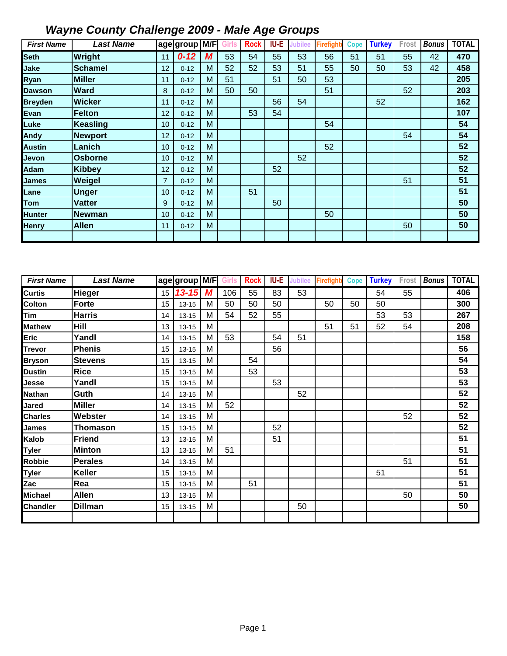| <b>First Name</b> | <b>Last Name</b> |                | age group M/F |   | Girls | <b>Rock</b> | IU-E | <b>Jubilee</b> | <b>Firefight</b> | Cope | <b>Turkey</b> | Frost | <b>Bonus</b> | <b>TOTAL</b> |
|-------------------|------------------|----------------|---------------|---|-------|-------------|------|----------------|------------------|------|---------------|-------|--------------|--------------|
| <b>Seth</b>       | <b>Wright</b>    | 11             | $0 - 12$      | M | 53    | 54          | 55   | 53             | 56               | 51   | 51            | 55    | 42           | 470          |
| Jake              | <b>Schamel</b>   | 12             | $0 - 12$      | М | 52    | 52          | 53   | 51             | 55               | 50   | 50            | 53    | 42           | 458          |
| Ryan              | <b>Miller</b>    | 11             | $0 - 12$      | M | 51    |             | 51   | 50             | 53               |      |               |       |              | 205          |
| <b>Dawson</b>     | <b>Ward</b>      | 8              | $0 - 12$      | M | 50    | 50          |      |                | 51               |      |               | 52    |              | 203          |
| <b>Breyden</b>    | <b>Wicker</b>    | 11             | $0 - 12$      | М |       |             | 56   | 54             |                  |      | 52            |       |              | 162          |
| Evan              | Felton           | 12             | $0 - 12$      | M |       | 53          | 54   |                |                  |      |               |       |              | 107          |
| Luke              | Keasling         | 10             | $0 - 12$      | M |       |             |      |                | 54               |      |               |       |              | 54           |
| Andy              | <b>Newport</b>   | 12             | $0 - 12$      | М |       |             |      |                |                  |      |               | 54    |              | 54           |
| <b>Austin</b>     | Lanich           | 10             | $0 - 12$      | M |       |             |      |                | 52               |      |               |       |              | 52           |
| Jevon             | <b>Osborne</b>   | 10             | $0 - 12$      | M |       |             |      | 52             |                  |      |               |       |              | 52           |
| Adam              | <b>Kibbey</b>    | 12             | $0 - 12$      | M |       |             | 52   |                |                  |      |               |       |              | 52           |
| James             | Weigel           | $\overline{7}$ | $0 - 12$      | M |       |             |      |                |                  |      |               | 51    |              | 51           |
| Lane              | <b>Unger</b>     | 10             | $0 - 12$      | М |       | 51          |      |                |                  |      |               |       |              | 51           |
| Tom               | <b>Vatter</b>    | 9              | $0 - 12$      | M |       |             | 50   |                |                  |      |               |       |              | 50           |
| <b>Hunter</b>     | <b>Newman</b>    | 10             | $0 - 12$      | M |       |             |      |                | 50               |      |               |       |              | 50           |
| <b>Henry</b>      | <b>Allen</b>     | 11             | $0 - 12$      | M |       |             |      |                |                  |      |               | 50    |              | 50           |
|                   |                  |                |               |   |       |             |      |                |                  |      |               |       |              |              |

| <b>First Name</b> | <b>Last Name</b> |    | age group | M/F | Girls | <b>Rock</b> | <b>IU-E</b> | Jubilee | Firefight | <b>Cope</b> | <b>Turkey</b> | Frost | <b>Bonus</b> | <b>TOTAL</b> |
|-------------------|------------------|----|-----------|-----|-------|-------------|-------------|---------|-----------|-------------|---------------|-------|--------------|--------------|
| Curtis            | Hieger           | 15 | $13 - 15$ | M   | 106   | 55          | 83          | 53      |           |             | 54            | 55    |              | 406          |
| Colton            | <b>Forte</b>     | 15 | $13 - 15$ | M   | 50    | 50          | 50          |         | 50        | 50          | 50            |       |              | 300          |
| Tim               | <b>Harris</b>    | 14 | $13 - 15$ | M   | 54    | 52          | 55          |         |           |             | 53            | 53    |              | 267          |
| <b>Mathew</b>     | Hill             | 13 | $13 - 15$ | M   |       |             |             |         | 51        | 51          | 52            | 54    |              | 208          |
| Eric              | Yandl            | 14 | $13 - 15$ | M   | 53    |             | 54          | 51      |           |             |               |       |              | 158          |
| Trevor            | <b>Phenis</b>    | 15 | $13 - 15$ | M   |       |             | 56          |         |           |             |               |       |              | 56           |
| <b>Bryson</b>     | <b>Stevens</b>   | 15 | $13 - 15$ | M   |       | 54          |             |         |           |             |               |       |              | 54           |
| Dustin            | <b>Rice</b>      | 15 | $13 - 15$ | M   |       | 53          |             |         |           |             |               |       |              | 53           |
| Jesse             | Yandl            | 15 | $13 - 15$ | M   |       |             | 53          |         |           |             |               |       |              | 53           |
| Nathan            | Guth             | 14 | $13 - 15$ | M   |       |             |             | 52      |           |             |               |       |              | 52           |
| Jared             | <b>Miller</b>    | 14 | $13 - 15$ | M   | 52    |             |             |         |           |             |               |       |              | 52           |
| <b>Charles</b>    | Webster          | 14 | $13 - 15$ | M   |       |             |             |         |           |             |               | 52    |              | 52           |
| James             | <b>Thomason</b>  | 15 | $13 - 15$ | M   |       |             | 52          |         |           |             |               |       |              | 52           |
| Kalob             | <b>Friend</b>    | 13 | $13 - 15$ | M   |       |             | 51          |         |           |             |               |       |              | 51           |
| Tyler             | <b>Minton</b>    | 13 | $13 - 15$ | M   | 51    |             |             |         |           |             |               |       |              | 51           |
| Robbie            | <b>Perales</b>   | 14 | $13 - 15$ | M   |       |             |             |         |           |             |               | 51    |              | 51           |
| <b>Tyler</b>      | Keller           | 15 | $13 - 15$ | M   |       |             |             |         |           |             | 51            |       |              | 51           |
| Zac               | Rea              | 15 | $13 - 15$ | M   |       | 51          |             |         |           |             |               |       |              | 51           |
| Michael           | <b>Allen</b>     | 13 | $13 - 15$ | M   |       |             |             |         |           |             |               | 50    |              | 50           |
| <b>Chandler</b>   | <b>Dillman</b>   | 15 | $13 - 15$ | M   |       |             |             | 50      |           |             |               |       |              | 50           |
|                   |                  |    |           |     |       |             |             |         |           |             |               |       |              |              |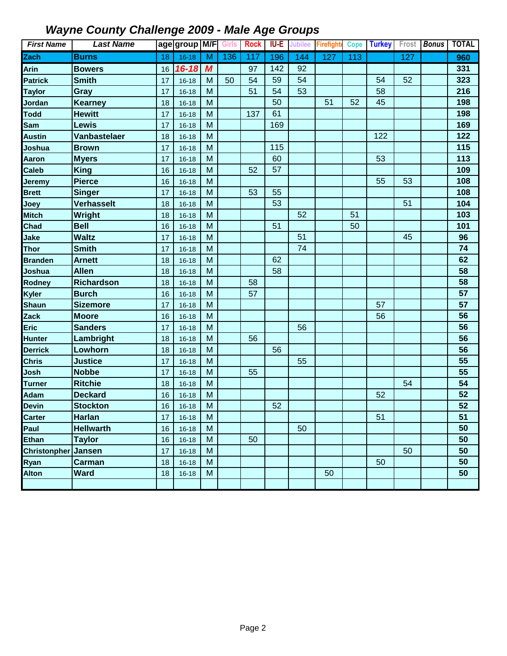| <b>First Name</b>   | <b>Last Name</b>  |    | age group M/F |   | <b>Girls</b> | <b>Rock</b> | IU-E | <b>Jubilee</b> | <b>Firefighte</b> | <b>Cope</b> | <b>Turkey</b> | Frost | <b>Bonus</b> | <b>TOTAL</b> |
|---------------------|-------------------|----|---------------|---|--------------|-------------|------|----------------|-------------------|-------------|---------------|-------|--------------|--------------|
| Zach                | <b>Burns</b>      | 18 | $16 - 18$     | M | 136          | 117         | 196  | 144            | 127               | 113         |               | 127   |              | 960          |
| Arin                | <b>Bowers</b>     | 16 | $16 - 18$     | M |              | 97          | 142  | 92             |                   |             |               |       |              | 331          |
| <b>Patrick</b>      | <b>Smith</b>      | 17 | $16 - 18$     | M | 50           | 54          | 59   | 54             |                   |             | 54            | 52    |              | 323          |
| <b>Taylor</b>       | Gray              | 17 | $16 - 18$     | M |              | 51          | 54   | 53             |                   |             | 58            |       |              | 216          |
| Jordan              | <b>Kearney</b>    | 18 | $16 - 18$     | M |              |             | 50   |                | 51                | 52          | 45            |       |              | 198          |
| <b>Todd</b>         | <b>Hewitt</b>     | 17 | $16 - 18$     | M |              | 137         | 61   |                |                   |             |               |       |              | 198          |
| Sam                 | <b>Lewis</b>      | 17 | $16 - 18$     | M |              |             | 169  |                |                   |             |               |       |              | 169          |
| <b>Austin</b>       | Vanbastelaer      | 18 | $16 - 18$     | M |              |             |      |                |                   |             | 122           |       |              | 122          |
| Joshua              | <b>Brown</b>      | 17 | $16 - 18$     | M |              |             | 115  |                |                   |             |               |       |              | 115          |
| Aaron               | <b>Myers</b>      | 17 | $16 - 18$     | M |              |             | 60   |                |                   |             | 53            |       |              | 113          |
| <b>Caleb</b>        | <b>King</b>       | 16 | $16 - 18$     | M |              | 52          | 57   |                |                   |             |               |       |              | 109          |
| Jeremy              | <b>Pierce</b>     | 16 | $16 - 18$     | M |              |             |      |                |                   |             | 55            | 53    |              | 108          |
| <b>Brett</b>        | <b>Singer</b>     | 17 | $16 - 18$     | M |              | 53          | 55   |                |                   |             |               |       |              | 108          |
| Joey                | <b>Verhasselt</b> | 18 | $16 - 18$     | M |              |             | 53   |                |                   |             |               | 51    |              | 104          |
| <b>Mitch</b>        | Wright            | 18 | $16 - 18$     | M |              |             |      | 52             |                   | 51          |               |       |              | 103          |
| Chad                | <b>Bell</b>       | 16 | $16 - 18$     | M |              |             | 51   |                |                   | 50          |               |       |              | 101          |
| Jake                | <b>Waltz</b>      | 17 | $16 - 18$     | M |              |             |      | 51             |                   |             |               | 45    |              | 96           |
| Thor                | <b>Smith</b>      | 17 | $16 - 18$     | M |              |             |      | 74             |                   |             |               |       |              | 74           |
| <b>Branden</b>      | <b>Arnett</b>     | 18 | $16 - 18$     | M |              |             | 62   |                |                   |             |               |       |              | 62           |
| Joshua              | <b>Allen</b>      | 18 | $16 - 18$     | M |              |             | 58   |                |                   |             |               |       |              | 58           |
| Rodney              | Richardson        | 18 | $16 - 18$     | M |              | 58          |      |                |                   |             |               |       |              | 58           |
| Kyler               | <b>Burch</b>      | 16 | $16 - 18$     | M |              | 57          |      |                |                   |             |               |       |              | 57           |
| <b>Shaun</b>        | <b>Sizemore</b>   | 17 | $16 - 18$     | M |              |             |      |                |                   |             | 57            |       |              | 57           |
| Zack                | <b>Moore</b>      | 16 | $16 - 18$     | M |              |             |      |                |                   |             | 56            |       |              | 56           |
| <b>Eric</b>         | <b>Sanders</b>    | 17 | $16 - 18$     | M |              |             |      | 56             |                   |             |               |       |              | 56           |
| <b>Hunter</b>       | Lambright         | 18 | $16 - 18$     | M |              | 56          |      |                |                   |             |               |       |              | 56           |
| <b>Derrick</b>      | Lowhorn           | 18 | $16 - 18$     | M |              |             | 56   |                |                   |             |               |       |              | 56           |
| <b>Chris</b>        | <b>Justice</b>    | 17 | $16 - 18$     | M |              |             |      | 55             |                   |             |               |       |              | 55           |
| Josh                | <b>Nobbe</b>      | 17 | $16 - 18$     | M |              | 55          |      |                |                   |             |               |       |              | 55           |
| <b>Turner</b>       | <b>Ritchie</b>    | 18 | $16 - 18$     | M |              |             |      |                |                   |             |               | 54    |              | 54           |
| <b>Adam</b>         | <b>Deckard</b>    | 16 | $16 - 18$     | M |              |             |      |                |                   |             | 52            |       |              | 52           |
| <b>Devin</b>        | <b>Stockton</b>   | 16 | $16 - 18$     | M |              |             | 52   |                |                   |             |               |       |              | 52           |
| <b>Carter</b>       | <b>Harlan</b>     | 17 | $16 - 18$     | M |              |             |      |                |                   |             | 51            |       |              | 51           |
| Paul                | <b>Hellwarth</b>  | 16 | $16 - 18$     | M |              |             |      | 50             |                   |             |               |       |              | 50           |
| <b>Ethan</b>        | <b>Taylor</b>     | 16 | $16 - 18$     | M |              | 50          |      |                |                   |             |               |       |              | 50           |
| <b>Christonpher</b> | <b>Jansen</b>     | 17 | $16 - 18$     | M |              |             |      |                |                   |             |               | 50    |              | 50           |
| Ryan                | <b>Carman</b>     | 18 | $16 - 18$     | M |              |             |      |                |                   |             | 50            |       |              | 50           |
| <b>Alton</b>        | <b>Ward</b>       | 18 | $16 - 18$     | M |              |             |      |                | 50                |             |               |       |              | 50           |
|                     |                   |    |               |   |              |             |      |                |                   |             |               |       |              |              |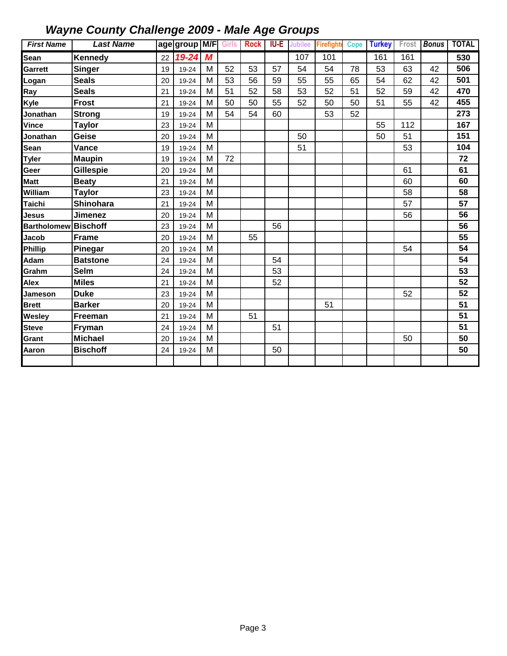| <b>First Name</b>  | <b>Last Name</b> |    | age group M/F Girls Rock |   |    |    | <b>IU-E</b> | <b>Jubilee</b> | <b>Firefighte</b> | <b>Cope</b> | <b>Turkey</b> | Frost | <b>Bonus</b> | <b>TOTAL</b> |
|--------------------|------------------|----|--------------------------|---|----|----|-------------|----------------|-------------------|-------------|---------------|-------|--------------|--------------|
| Sean               | <b>Kennedy</b>   | 22 | 19-24                    | M |    |    |             | 107            | 101               |             | 161           | 161   |              | 530          |
| Garrett            | <b>Singer</b>    | 19 | 19-24                    | M | 52 | 53 | 57          | 54             | 54                | 78          | 53            | 63    | 42           | 506          |
| Logan              | <b>Seals</b>     | 20 | 19-24                    | M | 53 | 56 | 59          | 55             | 55                | 65          | 54            | 62    | 42           | 501          |
| Ray                | <b>Seals</b>     | 21 | 19-24                    | M | 51 | 52 | 58          | 53             | 52                | 51          | 52            | 59    | 42           | 470          |
| Kyle               | <b>Frost</b>     | 21 | 19-24                    | M | 50 | 50 | 55          | 52             | 50                | 50          | 51            | 55    | 42           | 455          |
| Jonathan           | <b>Strong</b>    | 19 | 19-24                    | M | 54 | 54 | 60          |                | 53                | 52          |               |       |              | 273          |
| Vince              | <b>Taylor</b>    | 23 | 19-24                    | M |    |    |             |                |                   |             | 55            | 112   |              | 167          |
| Jonathan           | Geise            | 20 | 19-24                    | M |    |    |             | 50             |                   |             | 50            | 51    |              | 151          |
| Sean               | Vance            | 19 | 19-24                    | M |    |    |             | 51             |                   |             |               | 53    |              | 104          |
| <b>Tyler</b>       | <b>Maupin</b>    | 19 | 19-24                    | M | 72 |    |             |                |                   |             |               |       |              | 72           |
| Geer               | Gillespie        | 20 | 19-24                    | M |    |    |             |                |                   |             |               | 61    |              | 61           |
| Matt               | <b>Beaty</b>     | 21 | 19-24                    | M |    |    |             |                |                   |             |               | 60    |              | 60           |
| William            | <b>Taylor</b>    | 23 | 19-24                    | M |    |    |             |                |                   |             |               | 58    |              | 58           |
| Taichi             | Shinohara        | 21 | 19-24                    | M |    |    |             |                |                   |             |               | 57    |              | 57           |
| Jesus              | <b>Jimenez</b>   | 20 | 19-24                    | M |    |    |             |                |                   |             |               | 56    |              | 56           |
| <b>Bartholomew</b> | <b>Bischoff</b>  | 23 | 19-24                    | M |    |    | 56          |                |                   |             |               |       |              | 56           |
| Jacob              | <b>Frame</b>     | 20 | 19-24                    | M |    | 55 |             |                |                   |             |               |       |              | 55           |
| Phillip            | Pinegar          | 20 | 19-24                    | M |    |    |             |                |                   |             |               | 54    |              | 54           |
| Adam               | <b>Batstone</b>  | 24 | 19-24                    | M |    |    | 54          |                |                   |             |               |       |              | 54           |
| Grahm              | <b>Selm</b>      | 24 | 19-24                    | M |    |    | 53          |                |                   |             |               |       |              | 53           |
| Alex               | <b>Miles</b>     | 21 | 19-24                    | M |    |    | 52          |                |                   |             |               |       |              | 52           |
| Jameson            | <b>Duke</b>      | 23 | 19-24                    | M |    |    |             |                |                   |             |               | 52    |              | 52           |
| <b>Brett</b>       | <b>Barker</b>    | 20 | 19-24                    | M |    |    |             |                | 51                |             |               |       |              | 51           |
| Wesley             | Freeman          | 21 | 19-24                    | M |    | 51 |             |                |                   |             |               |       |              | 51           |
| <b>Steve</b>       | Fryman           | 24 | 19-24                    | M |    |    | 51          |                |                   |             |               |       |              | 51           |
| Grant              | <b>Michael</b>   | 20 | 19-24                    | M |    |    |             |                |                   |             |               | 50    |              | 50           |
| Aaron              | <b>Bischoff</b>  | 24 | 19-24                    | M |    |    | 50          |                |                   |             |               |       |              | 50           |
|                    |                  |    |                          |   |    |    |             |                |                   |             |               |       |              |              |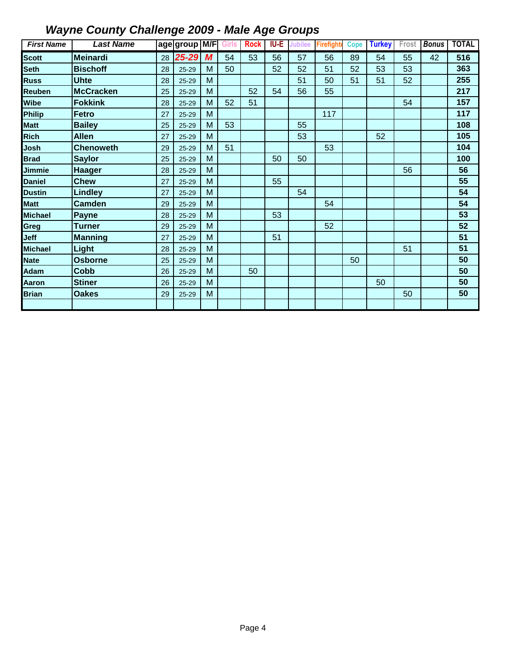| <b>First Name</b> | <b>Last Name</b> |    | age group M/F |   | <b>Girls</b> | <b>Rock</b> | IU-E | <b>Jubilee</b> | <b>Firefight</b> | <b>Cope</b> | <b>Turkey</b> | Frost | <b>Bonus</b> | <b>TOTAL</b> |
|-------------------|------------------|----|---------------|---|--------------|-------------|------|----------------|------------------|-------------|---------------|-------|--------------|--------------|
| <b>Scott</b>      | Meinardi         | 28 | 25-29         | M | 54           | 53          | 56   | 57             | 56               | 89          | 54            | 55    | 42           | 516          |
| Seth              | <b>Bischoff</b>  | 28 | $25 - 29$     | M | 50           |             | 52   | 52             | 51               | 52          | 53            | 53    |              | 363          |
| <b>Russ</b>       | <b>Uhte</b>      | 28 | $25 - 29$     | M |              |             |      | 51             | 50               | 51          | 51            | 52    |              | 255          |
| Reuben            | <b>McCracken</b> | 25 | $25 - 29$     | M |              | 52          | 54   | 56             | 55               |             |               |       |              | 217          |
| Wibe              | <b>Fokkink</b>   | 28 | $25 - 29$     | M | 52           | 51          |      |                |                  |             |               | 54    |              | 157          |
| Philip            | <b>Fetro</b>     | 27 | $25 - 29$     | M |              |             |      |                | 117              |             |               |       |              | 117          |
| <b>Matt</b>       | <b>Bailey</b>    | 25 | $25 - 29$     | M | 53           |             |      | 55             |                  |             |               |       |              | 108          |
| <b>Rich</b>       | <b>Allen</b>     | 27 | $25 - 29$     | M |              |             |      | 53             |                  |             | 52            |       |              | 105          |
| Josh              | <b>Chenoweth</b> | 29 | $25 - 29$     | M | 51           |             |      |                | 53               |             |               |       |              | 104          |
| <b>Brad</b>       | <b>Saylor</b>    | 25 | $25 - 29$     | M |              |             | 50   | 50             |                  |             |               |       |              | 100          |
| Jimmie            | <b>Haager</b>    | 28 | $25 - 29$     | M |              |             |      |                |                  |             |               | 56    |              | 56           |
| <b>Daniel</b>     | <b>Chew</b>      | 27 | $25 - 29$     | M |              |             | 55   |                |                  |             |               |       |              | 55           |
| Dustin            | Lindley          | 27 | $25 - 29$     | M |              |             |      | 54             |                  |             |               |       |              | 54           |
| <b>Matt</b>       | <b>Camden</b>    | 29 | $25 - 29$     | M |              |             |      |                | 54               |             |               |       |              | 54           |
| Michael           | <b>Payne</b>     | 28 | $25 - 29$     | M |              |             | 53   |                |                  |             |               |       |              | 53           |
| Greg              | <b>Turner</b>    | 29 | $25 - 29$     | M |              |             |      |                | 52               |             |               |       |              | 52           |
| Jeff              | <b>Manning</b>   | 27 | $25 - 29$     | M |              |             | 51   |                |                  |             |               |       |              | 51           |
| <b>Michael</b>    | Light            | 28 | $25 - 29$     | M |              |             |      |                |                  |             |               | 51    |              | 51           |
| <b>Nate</b>       | <b>Osborne</b>   | 25 | $25 - 29$     | M |              |             |      |                |                  | 50          |               |       |              | 50           |
| <b>Adam</b>       | <b>Cobb</b>      | 26 | $25 - 29$     | M |              | 50          |      |                |                  |             |               |       |              | 50           |
| Aaron             | <b>Stiner</b>    | 26 | $25 - 29$     | M |              |             |      |                |                  |             | 50            |       |              | 50           |
| <b>Brian</b>      | <b>Oakes</b>     | 29 | $25 - 29$     | M |              |             |      |                |                  |             |               | 50    |              | 50           |
|                   |                  |    |               |   |              |             |      |                |                  |             |               |       |              |              |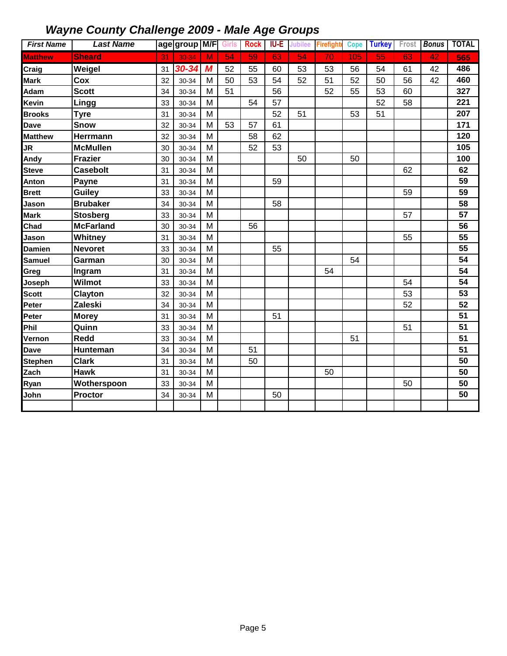| <b>First Name</b> | <b>Last Name</b> |    | age group M/F |   | Girls           | <b>Rock</b> | IU-E | Jubilee | <b>Firefight</b> | <b>Cope</b> | <b>Turkey</b> | Frost | <b>Bonus</b> | <b>TOTAL</b> |
|-------------------|------------------|----|---------------|---|-----------------|-------------|------|---------|------------------|-------------|---------------|-------|--------------|--------------|
| <b>Matthew</b>    | <b>Sheard</b>    | 31 | $30 - 34$     | M | $\overline{54}$ | 59          | 63   | 54      | 70               | 105         | 55            | 63    | 42           | 565          |
| Craig             | Weigel           | 31 | 30-34         | M | 52              | 55          | 60   | 53      | 53               | 56          | 54            | 61    | 42           | 486          |
| <b>Mark</b>       | Cox              | 32 | 30-34         | M | 50              | 53          | 54   | 52      | 51               | 52          | 50            | 56    | 42           | 460          |
| Adam              | <b>Scott</b>     | 34 | 30-34         | M | 51              |             | 56   |         | 52               | 55          | 53            | 60    |              | 327          |
| Kevin             | <b>Lingg</b>     | 33 | 30-34         | M |                 | 54          | 57   |         |                  |             | 52            | 58    |              | 221          |
| <b>Brooks</b>     | <b>Tyre</b>      | 31 | 30-34         | M |                 |             | 52   | 51      |                  | 53          | 51            |       |              | 207          |
| <b>Dave</b>       | <b>Snow</b>      | 32 | 30-34         | M | 53              | 57          | 61   |         |                  |             |               |       |              | 171          |
| <b>Matthew</b>    | Herrmann         | 32 | 30-34         | M |                 | 58          | 62   |         |                  |             |               |       |              | 120          |
| JR                | <b>McMullen</b>  | 30 | 30-34         | M |                 | 52          | 53   |         |                  |             |               |       |              | 105          |
| Andy              | <b>Frazier</b>   | 30 | 30-34         | M |                 |             |      | 50      |                  | 50          |               |       |              | 100          |
| <b>Steve</b>      | <b>Casebolt</b>  | 31 | 30-34         | M |                 |             |      |         |                  |             |               | 62    |              | 62           |
| Anton             | <b>Payne</b>     | 31 | 30-34         | M |                 |             | 59   |         |                  |             |               |       |              | 59           |
| <b>Brett</b>      | <b>Guiley</b>    | 33 | 30-34         | M |                 |             |      |         |                  |             |               | 59    |              | 59           |
| Jason             | <b>Brubaker</b>  | 34 | 30-34         | M |                 |             | 58   |         |                  |             |               |       |              | 58           |
| <b>Mark</b>       | <b>Stosberg</b>  | 33 | 30-34         | M |                 |             |      |         |                  |             |               | 57    |              | 57           |
| Chad              | <b>McFarland</b> | 30 | 30-34         | M |                 | 56          |      |         |                  |             |               |       |              | 56           |
| Jason             | Whitney          | 31 | 30-34         | M |                 |             |      |         |                  |             |               | 55    |              | 55           |
| <b>Damien</b>     | <b>Nevoret</b>   | 33 | 30-34         | M |                 |             | 55   |         |                  |             |               |       |              | 55           |
| <b>Samuel</b>     | Garman           | 30 | 30-34         | M |                 |             |      |         |                  | 54          |               |       |              | 54           |
| Greg              | Ingram           | 31 | 30-34         | M |                 |             |      |         | 54               |             |               |       |              | 54           |
| Joseph            | Wilmot           | 33 | 30-34         | M |                 |             |      |         |                  |             |               | 54    |              | 54           |
| <b>Scott</b>      | Clayton          | 32 | 30-34         | M |                 |             |      |         |                  |             |               | 53    |              | 53           |
| Peter             | Zaleski          | 34 | 30-34         | M |                 |             |      |         |                  |             |               | 52    |              | 52           |
| Peter             | <b>Morey</b>     | 31 | 30-34         | M |                 |             | 51   |         |                  |             |               |       |              | 51           |
| Phil              | Quinn            | 33 | 30-34         | M |                 |             |      |         |                  |             |               | 51    |              | 51           |
| Vernon            | <b>Redd</b>      | 33 | 30-34         | M |                 |             |      |         |                  | 51          |               |       |              | 51           |
| <b>Dave</b>       | Hunteman         | 34 | 30-34         | M |                 | 51          |      |         |                  |             |               |       |              | 51           |
| <b>Stephen</b>    | <b>Clark</b>     | 31 | 30-34         | M |                 | 50          |      |         |                  |             |               |       |              | 50           |
| Zach              | <b>Hawk</b>      | 31 | 30-34         | M |                 |             |      |         | 50               |             |               |       |              | 50           |
| Ryan              | Wotherspoon      | 33 | 30-34         | M |                 |             |      |         |                  |             |               | 50    |              | 50           |
| John              | <b>Proctor</b>   | 34 | 30-34         | M |                 |             | 50   |         |                  |             |               |       |              | 50           |
|                   |                  |    |               |   |                 |             |      |         |                  |             |               |       |              |              |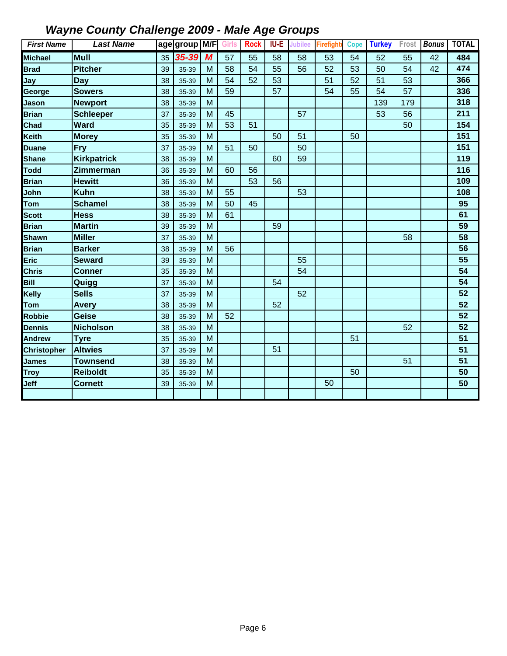| <b>First Name</b>  | <b>Last Name</b>   |    | age group M/F |   | <b>Girls</b> | <b>Rock</b> | <b>IU-E</b> | Jubilee | <b>Firefight</b> | <b>Cope</b> | <b>Turkey</b> | Frost | <b>Bonus</b> | <b>TOTAL</b> |
|--------------------|--------------------|----|---------------|---|--------------|-------------|-------------|---------|------------------|-------------|---------------|-------|--------------|--------------|
| <b>Michael</b>     | <b>Mull</b>        | 35 | 35-39         | M | 57           | 55          | 58          | 58      | 53               | 54          | 52            | 55    | 42           | 484          |
| <b>Brad</b>        | <b>Pitcher</b>     | 39 | 35-39         | M | 58           | 54          | 55          | 56      | 52               | 53          | 50            | 54    | 42           | 474          |
| Jay                | <b>Day</b>         | 38 | 35-39         | M | 54           | 52          | 53          |         | 51               | 52          | 51            | 53    |              | 366          |
| George             | <b>Sowers</b>      | 38 | 35-39         | M | 59           |             | 57          |         | 54               | 55          | 54            | 57    |              | 336          |
| Jason              | <b>Newport</b>     | 38 | 35-39         | M |              |             |             |         |                  |             | 139           | 179   |              | 318          |
| <b>Brian</b>       | <b>Schleeper</b>   | 37 | 35-39         | M | 45           |             |             | 57      |                  |             | 53            | 56    |              | 211          |
| Chad               | <b>Ward</b>        | 35 | 35-39         | M | 53           | 51          |             |         |                  |             |               | 50    |              | 154          |
| Keith              | <b>Morey</b>       | 35 | 35-39         | M |              |             | 50          | 51      |                  | 50          |               |       |              | 151          |
| <b>Duane</b>       | <b>Fry</b>         | 37 | 35-39         | M | 51           | 50          |             | 50      |                  |             |               |       |              | 151          |
| <b>Shane</b>       | <b>Kirkpatrick</b> | 38 | 35-39         | M |              |             | 60          | 59      |                  |             |               |       |              | 119          |
| <b>Todd</b>        | Zimmerman          | 36 | 35-39         | M | 60           | 56          |             |         |                  |             |               |       |              | 116          |
| <b>Brian</b>       | <b>Hewitt</b>      | 36 | 35-39         | M |              | 53          | 56          |         |                  |             |               |       |              | 109          |
| John               | <b>Kuhn</b>        | 38 | 35-39         | M | 55           |             |             | 53      |                  |             |               |       |              | 108          |
| Tom                | <b>Schamel</b>     | 38 | 35-39         | M | 50           | 45          |             |         |                  |             |               |       |              | 95           |
| <b>Scott</b>       | <b>Hess</b>        | 38 | 35-39         | M | 61           |             |             |         |                  |             |               |       |              | 61           |
| <b>Brian</b>       | <b>Martin</b>      | 39 | 35-39         | M |              |             | 59          |         |                  |             |               |       |              | 59           |
| <b>Shawn</b>       | <b>Miller</b>      | 37 | 35-39         | M |              |             |             |         |                  |             |               | 58    |              | 58           |
| <b>Brian</b>       | <b>Barker</b>      | 38 | 35-39         | M | 56           |             |             |         |                  |             |               |       |              | 56           |
| Eric               | <b>Seward</b>      | 39 | 35-39         | M |              |             |             | 55      |                  |             |               |       |              | 55           |
| <b>Chris</b>       | <b>Conner</b>      | 35 | 35-39         | M |              |             |             | 54      |                  |             |               |       |              | 54           |
| Bill               | Quigg              | 37 | 35-39         | M |              |             | 54          |         |                  |             |               |       |              | 54           |
| Kelly              | <b>Sells</b>       | 37 | 35-39         | M |              |             |             | 52      |                  |             |               |       |              | 52           |
| Tom                | <b>Avery</b>       | 38 | 35-39         | M |              |             | 52          |         |                  |             |               |       |              | 52           |
| <b>Robbie</b>      | Geise              | 38 | 35-39         | M | 52           |             |             |         |                  |             |               |       |              | 52           |
| <b>Dennis</b>      | <b>Nicholson</b>   | 38 | 35-39         | M |              |             |             |         |                  |             |               | 52    |              | 52           |
| <b>Andrew</b>      | <b>Tyre</b>        | 35 | 35-39         | M |              |             |             |         |                  | 51          |               |       |              | 51           |
| <b>Christopher</b> | <b>Altwies</b>     | 37 | 35-39         | M |              |             | 51          |         |                  |             |               |       |              | 51           |
| <b>James</b>       | <b>Townsend</b>    | 38 | 35-39         | M |              |             |             |         |                  |             |               | 51    |              | 51           |
| <b>Troy</b>        | <b>Reiboldt</b>    | 35 | 35-39         | M |              |             |             |         |                  | 50          |               |       |              | 50           |
| Jeff               | <b>Cornett</b>     | 39 | 35-39         | M |              |             |             |         | 50               |             |               |       |              | 50           |
|                    |                    |    |               |   |              |             |             |         |                  |             |               |       |              |              |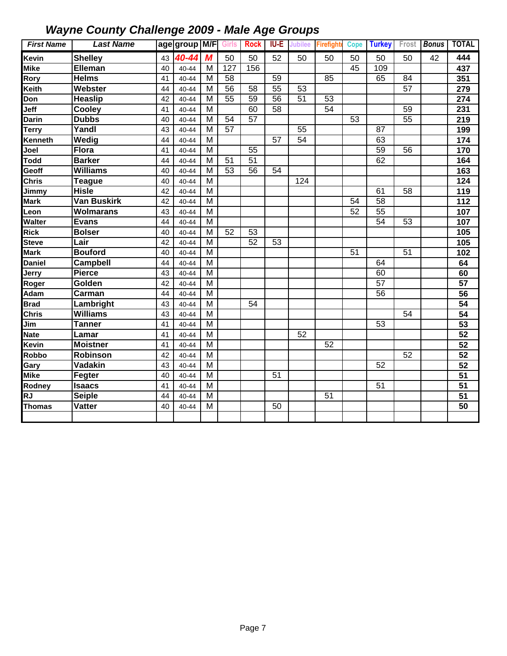| <b>First Name</b>      | <b>Last Name</b>   |    | age group M/F Girls Rock |                         |                 |                 |                 |                 | <b>IU-E</b> Jubilee Firefight |                 | Cope Turkey     |                 | Frost <b>Bonus</b> | <b>TOTAL</b>    |
|------------------------|--------------------|----|--------------------------|-------------------------|-----------------|-----------------|-----------------|-----------------|-------------------------------|-----------------|-----------------|-----------------|--------------------|-----------------|
| <b>Kevin</b>           | <b>Shelley</b>     | 43 | 40-44                    | M                       | 50              | 50              | 52              | 50              | 50                            | 50              | 50              | 50              | 42                 | 444             |
| <b>Mike</b>            | <b>Elleman</b>     | 40 | $40 - 44$                | M                       | 127             | 156             |                 |                 |                               | 45              | 109             |                 |                    | 437             |
| Rory                   | <b>Helms</b>       | 41 | $40 - 44$                | M                       | 58              |                 | 59              |                 | 85                            |                 | 65              | 84              |                    | 351             |
| Keith                  | Webster            | 44 | $40 - 44$                | M                       | $\overline{56}$ | 58              | $\overline{55}$ | 53              |                               |                 |                 | 57              |                    | 279             |
| Don                    | <b>Heaslip</b>     | 42 | $40 - 44$                | M                       | $\overline{55}$ | $\overline{59}$ | $\overline{56}$ | $\overline{51}$ | 53                            |                 |                 |                 |                    | 274             |
| Jeff                   | Cooley             | 41 | $40 - 44$                | M                       |                 | 60              | 58              |                 | $\overline{54}$               |                 |                 | 59              |                    | 231             |
| <b>Darin</b>           | <b>Dubbs</b>       | 40 | $40 - 44$                | M                       | 54              | 57              |                 |                 |                               | 53              |                 | $\overline{55}$ |                    | 219             |
| <b>Terry</b>           | Yandl              | 43 | $40 - 44$                | M                       | $\overline{57}$ |                 |                 | 55              |                               |                 | 87              |                 |                    | 199             |
| Kenneth                | Wedig              | 44 | $40 - 44$                | M                       |                 |                 | 57              | $\overline{54}$ |                               |                 | 63              |                 |                    | 174             |
| Joel                   | <b>Flora</b>       | 41 | 40-44                    | M                       |                 | 55              |                 |                 |                               |                 | $\overline{59}$ | 56              |                    | 170             |
| Todd                   | <b>Barker</b>      | 44 | 40-44                    | M                       | 51              | 51              |                 |                 |                               |                 | 62              |                 |                    | 164             |
| Geoff                  | <b>Williams</b>    | 40 | 40-44                    | M                       | $\overline{53}$ | 56              | 54              |                 |                               |                 |                 |                 |                    | 163             |
| <b>Chris</b>           | <b>Teague</b>      | 40 | 40-44                    | M                       |                 |                 |                 | 124             |                               |                 |                 |                 |                    | 124             |
| Jimmy                  | <b>Hisle</b>       | 42 | 40-44                    | M                       |                 |                 |                 |                 |                               |                 | 61              | 58              |                    | 119             |
| <b>Mark</b>            | <b>Van Buskirk</b> | 42 | 40-44                    | $\overline{M}$          |                 |                 |                 |                 |                               | 54              | $\overline{58}$ |                 |                    | 112             |
| Leon                   | <b>Wolmarans</b>   | 43 | 40-44                    | $\overline{M}$          |                 |                 |                 |                 |                               | $\overline{52}$ | $\overline{55}$ |                 |                    | 107             |
| Walter                 | <b>Evans</b>       | 44 | $40 - 44$                | $\overline{M}$          |                 |                 |                 |                 |                               |                 | $\overline{54}$ | $\overline{53}$ |                    | 107             |
| <b>Rick</b>            | <b>Bolser</b>      | 40 | $40 - 44$                | $\overline{\mathsf{M}}$ | $\overline{52}$ | 53              |                 |                 |                               |                 |                 |                 |                    | 105             |
| <b>Steve</b>           | Lair               | 42 | 40-44                    | M                       |                 | $\overline{52}$ | $\overline{53}$ |                 |                               |                 |                 |                 |                    | 105             |
| <b>Mark</b>            | <b>Bouford</b>     | 40 | $40 - 44$                | M                       |                 |                 |                 |                 |                               | 51              |                 | 51              |                    | 102             |
| <b>Daniel</b>          | <b>Campbell</b>    | 44 | $40 - 44$                | M                       |                 |                 |                 |                 |                               |                 | 64              |                 |                    | 64              |
| Jerry                  | <b>Pierce</b>      | 43 | 40-44                    | M                       |                 |                 |                 |                 |                               |                 | 60              |                 |                    | 60              |
| Roger                  | Golden             | 42 | 40-44                    | M                       |                 |                 |                 |                 |                               |                 | 57              |                 |                    | 57              |
| Adam                   | Carman             | 44 | 40-44                    | M                       |                 |                 |                 |                 |                               |                 | 56              |                 |                    | 56              |
| <b>Brad</b>            | Lambright          | 43 | 40-44                    | M                       |                 | 54              |                 |                 |                               |                 |                 |                 |                    | 54              |
| <b>Chris</b>           | <b>Williams</b>    | 43 | 40-44                    | M                       |                 |                 |                 |                 |                               |                 |                 | 54              |                    | 54              |
| Jim                    | <b>Tanner</b>      | 41 | 40-44                    | $\overline{M}$          |                 |                 |                 |                 |                               |                 | 53              |                 |                    | 53              |
| <b>Nate</b>            | Lamar              | 41 | 40-44                    | $\overline{M}$          |                 |                 |                 | $\overline{52}$ |                               |                 |                 |                 |                    | 52              |
| Kevin                  | <b>Moistner</b>    | 41 | 40-44                    | M                       |                 |                 |                 |                 | 52                            |                 |                 |                 |                    | 52              |
| Robbo                  | Robinson           | 42 | 40-44                    | M                       |                 |                 |                 |                 |                               |                 |                 | 52              |                    | 52              |
| Gary                   | Vadakin            | 43 | 40-44                    | M                       |                 |                 |                 |                 |                               |                 | 52              |                 |                    | 52              |
| <b>Mike</b>            | Fegter             | 40 | 40-44                    | M                       |                 |                 | 51              |                 |                               |                 |                 |                 |                    | $\overline{51}$ |
| Rodney                 | <b>Isaacs</b>      | 41 | 40-44                    | M                       |                 |                 |                 |                 |                               |                 | 51              |                 |                    | 51              |
| $\overline{\text{RJ}}$ | <b>Seiple</b>      | 44 | 40-44                    | M                       |                 |                 |                 |                 | 51                            |                 |                 |                 |                    | 51              |
| <b>Thomas</b>          | <b>Vatter</b>      | 40 | $40 - 44$                | M                       |                 |                 | 50              |                 |                               |                 |                 |                 |                    | 50              |
|                        |                    |    |                          |                         |                 |                 |                 |                 |                               |                 |                 |                 |                    |                 |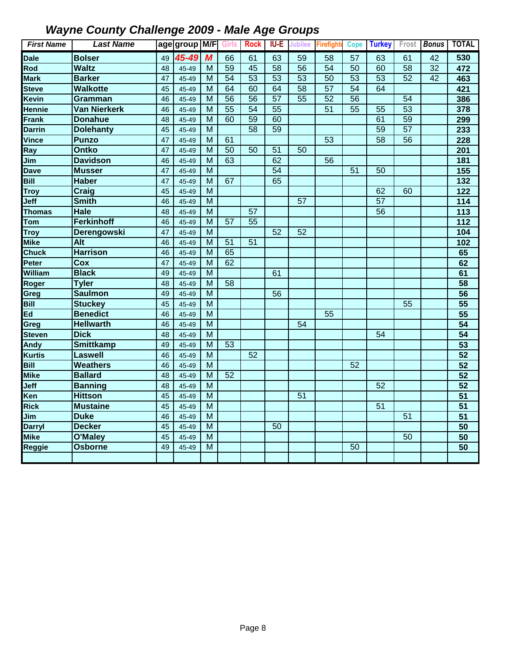| <b>First Name</b> | <b>Last Name</b>    |                 | age group M/F Girls |                |                 | <b>Rock</b>     | <b>IU-E</b>     | <b>Jubilee</b>  | <b>Firefight</b> | Cope            | <b>Turkey</b>   | Frost           | <b>Bonus</b>    | <b>TOTAL</b>      |
|-------------------|---------------------|-----------------|---------------------|----------------|-----------------|-----------------|-----------------|-----------------|------------------|-----------------|-----------------|-----------------|-----------------|-------------------|
| <b>Dale</b>       | <b>Bolser</b>       | 49              | 45-49               | M              | 66              | 61              | 63              | 59              | 58               | 57              | 63              | 61              | 42              | 530               |
| Rod               | <b>Waltz</b>        | 48              | 45-49               | м              | $\overline{59}$ | 45              | $\overline{58}$ | $\overline{56}$ | $\overline{54}$  | 50              | 60              | $\overline{58}$ | 32              | 472               |
| <b>Mark</b>       | <b>Barker</b>       | 47              | 45-49               | M              | $\overline{54}$ | 53              | 53              | 53              | $\overline{50}$  | $\overline{53}$ | $\overline{53}$ | 52              | $\overline{42}$ | 463               |
| <b>Steve</b>      | <b>Walkotte</b>     | 45              | 45-49               | $\overline{M}$ | 64              | 60              | 64              | $\overline{58}$ | $\overline{57}$  | $\overline{54}$ | 64              |                 |                 | 421               |
| <b>Kevin</b>      | Gramman             | 46              | 45-49               | M              | $\overline{56}$ | $\overline{56}$ | $\overline{57}$ | $\overline{55}$ | $\overline{52}$  | $\overline{56}$ |                 | 54              |                 | 386               |
| <b>Hennie</b>     | <b>Van Nierkerk</b> | 46              | 45-49               | M              | 55              | $\overline{54}$ | $\overline{55}$ |                 | 51               | 55              | 55              | $\overline{53}$ |                 | 378               |
| <b>Frank</b>      | <b>Donahue</b>      | 48              | 45-49               | M              | 60              | 59              | 60              |                 |                  |                 | 61              | 59              |                 | 299               |
| <b>Darrin</b>     | <b>Dolehanty</b>    | 45              | 45-49               | M              |                 | $\overline{58}$ | 59              |                 |                  |                 | 59              | $\overline{57}$ |                 | 233               |
| <b>Vince</b>      | <b>Punzo</b>        | 47              | 45-49               | M              | 61              |                 |                 |                 | 53               |                 | $\overline{58}$ | $\overline{56}$ |                 | 228               |
| Ray               | <b>Ontko</b>        | 47              | 45-49               | M              | $\overline{50}$ | 50              | 51              | 50              |                  |                 |                 |                 |                 | 201               |
| Jim               | <b>Davidson</b>     | 46              | 45-49               | $\overline{M}$ | 63              |                 | 62              |                 | 56               |                 |                 |                 |                 | 181               |
| <b>Dave</b>       | <b>Musser</b>       | 47              | 45-49               | M              |                 |                 | 54              |                 |                  | 51              | 50              |                 |                 | $\overline{155}$  |
| <b>Bill</b>       | <b>Haber</b>        | 47              | 45-49               | M              | 67              |                 | 65              |                 |                  |                 |                 |                 |                 | 132               |
| <b>Troy</b>       | <b>Craig</b>        | 45              | 45-49               | M              |                 |                 |                 |                 |                  |                 | 62              | 60              |                 | $\overline{122}$  |
| Jeff              | <b>Smith</b>        | 46              | 45-49               | $\overline{M}$ |                 |                 |                 | $\overline{57}$ |                  |                 | $\overline{57}$ |                 |                 | $\frac{114}{114}$ |
| <b>Thomas</b>     | <b>Hale</b>         | 48              | 45-49               | $\overline{M}$ |                 | $\overline{57}$ |                 |                 |                  |                 | $\overline{56}$ |                 |                 | 113               |
| Tom               | <b>Ferkinhoff</b>   | 46              | 45-49               | $\overline{M}$ | $\overline{57}$ | $\overline{55}$ |                 |                 |                  |                 |                 |                 |                 | $\overline{112}$  |
| <b>Troy</b>       | Derengowski         | $\overline{47}$ | 45-49               | $\overline{M}$ |                 |                 | 52              | 52              |                  |                 |                 |                 |                 | 104               |
| <b>Mike</b>       | <b>Alt</b>          | 46              | 45-49               | M              | 51              | 51              |                 |                 |                  |                 |                 |                 |                 | 102               |
| <b>Chuck</b>      | <b>Harrison</b>     | 46              | 45-49               | $\overline{M}$ | 65              |                 |                 |                 |                  |                 |                 |                 |                 | 65                |
| Peter             | Cox                 | 47              | 45-49               | $\overline{M}$ | 62              |                 |                 |                 |                  |                 |                 |                 |                 | 62                |
| William           | <b>Black</b>        | 49              | 45-49               | M              |                 |                 | 61              |                 |                  |                 |                 |                 |                 | 61                |
| Roger             | <b>Tyler</b>        | 48              | 45-49               | M              | 58              |                 |                 |                 |                  |                 |                 |                 |                 | 58                |
| Greg              | <b>Saulmon</b>      | 49              | 45-49               | M              |                 |                 | 56              |                 |                  |                 |                 |                 |                 | 56                |
| <b>Bill</b>       | <b>Stuckey</b>      | 45              | 45-49               | M              |                 |                 |                 |                 |                  |                 |                 | 55              |                 | 55                |
| Ed                | <b>Benedict</b>     | 46              | 45-49               | M              |                 |                 |                 |                 | 55               |                 |                 |                 |                 | 55                |
| Greg              | <b>Hellwarth</b>    | 46              | 45-49               | M              |                 |                 |                 | 54              |                  |                 |                 |                 |                 | $\overline{54}$   |
| <b>Steven</b>     | <b>Dick</b>         | 48              | 45-49               | M              |                 |                 |                 |                 |                  |                 | 54              |                 |                 | $\overline{54}$   |
| <b>Andy</b>       | <b>Smittkamp</b>    | 49              | 45-49               | $\overline{M}$ | $\overline{53}$ |                 |                 |                 |                  |                 |                 |                 |                 | 53                |
| <b>Kurtis</b>     | <b>Laswell</b>      | 46              | 45-49               | M              |                 | 52              |                 |                 |                  |                 |                 |                 |                 | $\overline{52}$   |
| <b>Bill</b>       | <b>Weathers</b>     | 46              | 45-49               | $\overline{M}$ |                 |                 |                 |                 |                  | $\overline{52}$ |                 |                 |                 | 52                |
| <b>Mike</b>       | <b>Ballard</b>      | 48              | 45-49               | M              | 52              |                 |                 |                 |                  |                 |                 |                 |                 | 52                |
| Jeff              | <b>Banning</b>      | 48              | 45-49               | M              |                 |                 |                 |                 |                  |                 | $\overline{52}$ |                 |                 | 52                |
| Ken               | <b>Hittson</b>      | 45              | 45-49               | M              |                 |                 |                 | 51              |                  |                 |                 |                 |                 | $\overline{51}$   |
| <b>Rick</b>       | <b>Mustaine</b>     | 45              | 45-49               | M              |                 |                 |                 |                 |                  |                 | $\overline{51}$ |                 |                 | 51                |
| Jim               | <b>Duke</b>         | 46              | 45-49               | M              |                 |                 |                 |                 |                  |                 |                 | $\overline{51}$ |                 | $\overline{51}$   |
| <b>Darryl</b>     | <b>Decker</b>       | 45              | 45-49               | M              |                 |                 | $\overline{50}$ |                 |                  |                 |                 |                 |                 | 50                |
| <b>Mike</b>       | O'Maley             | 45              | 45-49               | M              |                 |                 |                 |                 |                  |                 |                 | 50              |                 | $\overline{50}$   |
| <b>Reggie</b>     | <b>Osborne</b>      | 49              | 45-49               | $\overline{M}$ |                 |                 |                 |                 |                  | 50              |                 |                 |                 | 50                |
|                   |                     |                 |                     |                |                 |                 |                 |                 |                  |                 |                 |                 |                 |                   |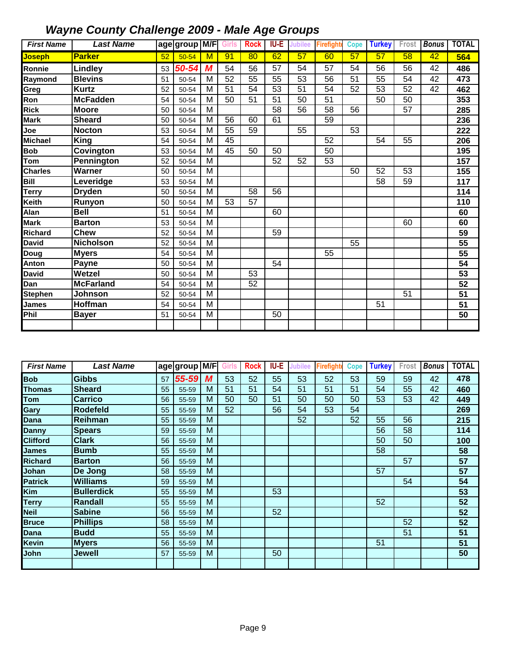| <b>First Name</b>   | <b>Last Name</b>  |    | age group M/F Girls |                         |    | <b>Rock</b>     | IU-E            | Jubilee | Firefight       | <b>Cope</b> | <b>Turkey</b> | Frost | <b>Bonus</b> | <b>TOTAL</b>      |
|---------------------|-------------------|----|---------------------|-------------------------|----|-----------------|-----------------|---------|-----------------|-------------|---------------|-------|--------------|-------------------|
| <mark>Joseph</mark> | <b>Parker</b>     | 52 | $50 - 54$           | M                       | 91 | 80              | 62              | 57      | 60              | 57          | 57            | 58    | 42           | 564               |
| Ronnie              | Lindley           | 53 | 50-54               | M                       | 54 | 56              | 57              | 54      | 57              | 54          | 56            | 56    | 42           | 486               |
| Raymond             | <b>Blevins</b>    | 51 | 50-54               | M                       | 52 | 55              | 55              | 53      | 56              | 51          | 55            | 54    | 42           | 473               |
| Greg                | <b>Kurtz</b>      | 52 | 50-54               | M                       | 51 | 54              | 53              | 51      | 54              | 52          | 53            | 52    | 42           | 462               |
| Ron                 | <b>McFadden</b>   | 54 | 50-54               | M                       | 50 | 51              | 51              | 50      | 51              |             | 50            | 50    |              | 353               |
| <b>Rick</b>         | <b>Moore</b>      | 50 | 50-54               | M                       |    |                 | 58              | 56      | 58              | 56          |               | 57    |              | 285               |
| <b>Mark</b>         | <b>Sheard</b>     | 50 | 50-54               | M                       | 56 | 60              | 61              |         | 59              |             |               |       |              | 236               |
| Joe                 | <b>Nocton</b>     | 53 | 50-54               | M                       | 55 | 59              |                 | 55      |                 | 53          |               |       |              | 222               |
| <b>Michael</b>      | <b>King</b>       | 54 | 50-54               | M                       | 45 |                 |                 |         | 52              |             | 54            | 55    |              | 206               |
| <b>Bob</b>          | Covington         | 53 | 50-54               | M                       | 45 | 50              | 50              |         | $\overline{50}$ |             |               |       |              | 195               |
| Tom                 | <b>Pennington</b> | 52 | 50-54               | M                       |    |                 | 52              | 52      | 53              |             |               |       |              | 157               |
| <b>Charles</b>      | Warner            | 50 | 50-54               | $\overline{\mathsf{M}}$ |    |                 |                 |         |                 | 50          | 52            | 53    |              | 155               |
| Bill                | Leveridge         | 53 | 50-54               | $\overline{\mathsf{M}}$ |    |                 |                 |         |                 |             | 58            | 59    |              | $\frac{117}{117}$ |
| <b>Terry</b>        | <b>Dryden</b>     | 50 | 50-54               | M                       |    | $\overline{58}$ | $\overline{56}$ |         |                 |             |               |       |              | 114               |
| Keith               | Runyon            | 50 | 50-54               | M                       | 53 | 57              |                 |         |                 |             |               |       |              | 110               |
| Alan                | <b>Bell</b>       | 51 | 50-54               | M                       |    |                 | 60              |         |                 |             |               |       |              | 60                |
| <b>Mark</b>         | <b>Barton</b>     | 53 | 50-54               | M                       |    |                 |                 |         |                 |             |               | 60    |              | 60                |
| <b>Richard</b>      | <b>Chew</b>       | 52 | 50-54               | M                       |    |                 | 59              |         |                 |             |               |       |              | $\overline{59}$   |
| <b>David</b>        | <b>Nicholson</b>  | 52 | 50-54               | M                       |    |                 |                 |         |                 | 55          |               |       |              | 55                |
| Doug                | <b>Myers</b>      | 54 | 50-54               | M                       |    |                 |                 |         | 55              |             |               |       |              | 55                |
| Anton               | Payne             | 50 | 50-54               | M                       |    |                 | 54              |         |                 |             |               |       |              | 54                |
| <b>David</b>        | Wetzel            | 50 | 50-54               | M                       |    | 53              |                 |         |                 |             |               |       |              | 53                |
| Dan                 | <b>McFarland</b>  | 54 | 50-54               | M                       |    | 52              |                 |         |                 |             |               |       |              | 52                |
| <b>Stephen</b>      | Johnson           | 52 | 50-54               | M                       |    |                 |                 |         |                 |             |               | 51    |              | 51                |
| <b>James</b>        | Hoffman           | 54 | 50-54               | M                       |    |                 |                 |         |                 |             | 51            |       |              | 51                |
| Phil                | <b>Bayer</b>      | 51 | 50-54               | M                       |    |                 | 50              |         |                 |             |               |       |              | 50                |
|                     |                   |    |                     |                         |    |                 |                 |         |                 |             |               |       |              |                   |

| <b>First Name</b> | <b>Last Name</b>  |    | 'age group M/F |   | Girls | <b>Rock</b> | <b>IU-E</b> | Jubilee | Firefight <sup>/</sup> | <b>Cope</b> | <b>Turkey</b> | Frost | <b>Bonus</b> | <b>TOTAL</b> |
|-------------------|-------------------|----|----------------|---|-------|-------------|-------------|---------|------------------------|-------------|---------------|-------|--------------|--------------|
| <b>Bob</b>        | <b>Gibbs</b>      | 57 | 55-59          | M | 53    | 52          | 55          | 53      | 52                     | 53          | 59            | 59    | 42           | 478          |
| <b>Thomas</b>     | <b>Sheard</b>     | 55 | 55-59          | M | 51    | 51          | 54          | 51      | 51                     | 51          | 54            | 55    | 42           | 460          |
| Tom               | <b>Carrico</b>    | 56 | 55-59          | M | 50    | 50          | 51          | 50      | 50                     | 50          | 53            | 53    | 42           | 449          |
| Gary              | <b>Rodefeld</b>   | 55 | 55-59          | M | 52    |             | 56          | 54      | 53                     | 54          |               |       |              | 269          |
| Dana              | Reihman           | 55 | 55-59          | M |       |             |             | 52      |                        | 52          | 55            | 56    |              | 215          |
| <b>Danny</b>      | <b>Spears</b>     | 59 | 55-59          | M |       |             |             |         |                        |             | 56            | 58    |              | 114          |
| <b>Clifford</b>   | <b>Clark</b>      | 56 | 55-59          | M |       |             |             |         |                        |             | 50            | 50    |              | 100          |
| <b>James</b>      | <b>Bumb</b>       | 55 | 55-59          | M |       |             |             |         |                        |             | 58            |       |              | 58           |
| <b>Richard</b>    | <b>Barton</b>     | 56 | 55-59          | M |       |             |             |         |                        |             |               | 57    |              | 57           |
| Johan             | De Jong           | 58 | 55-59          | M |       |             |             |         |                        |             | 57            |       |              | 57           |
| <b>Patrick</b>    | <b>Williams</b>   | 59 | 55-59          | M |       |             |             |         |                        |             |               | 54    |              | 54           |
| Kim               | <b>Bullerdick</b> | 55 | 55-59          | M |       |             | 53          |         |                        |             |               |       |              | 53           |
| <b>Terry</b>      | <b>Randall</b>    | 55 | 55-59          | M |       |             |             |         |                        |             | 52            |       |              | 52           |
| <b>Neil</b>       | <b>Sabine</b>     | 56 | 55-59          | M |       |             | 52          |         |                        |             |               |       |              | 52           |
| <b>Bruce</b>      | <b>Phillips</b>   | 58 | 55-59          | M |       |             |             |         |                        |             |               | 52    |              | 52           |
| Dana              | <b>Budd</b>       | 55 | 55-59          | M |       |             |             |         |                        |             |               | 51    |              | 51           |
| <b>Kevin</b>      | <b>Myers</b>      | 56 | 55-59          | M |       |             |             |         |                        |             | 51            |       |              | 51           |
| John              | Jewell            | 57 | 55-59          | M |       |             | 50          |         |                        |             |               |       |              | 50           |
|                   |                   |    |                |   |       |             |             |         |                        |             |               |       |              |              |